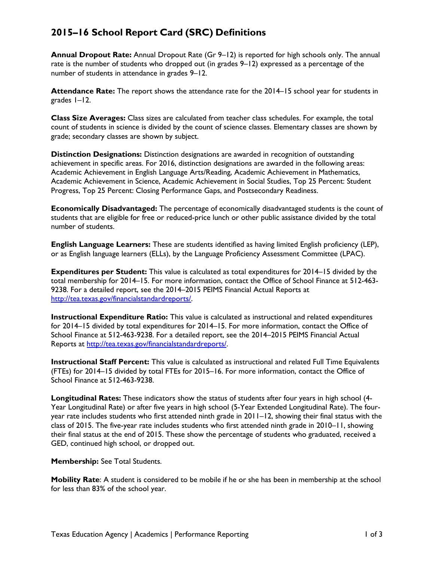## **2015–16 School Report Card (SRC) Definitions**

**Annual Dropout Rate:** Annual Dropout Rate (Gr 9–12) is reported for high schools only. The annual rate is the number of students who dropped out (in grades 9–12) expressed as a percentage of the number of students in attendance in grades 9–12.

**Attendance Rate:** The report shows the attendance rate for the 2014–15 school year for students in grades 1–12.

**Class Size Averages:** Class sizes are calculated from teacher class schedules. For example, the total count of students in science is divided by the count of science classes. Elementary classes are shown by grade; secondary classes are shown by subject.

**Distinction Designations:** Distinction designations are awarded in recognition of outstanding achievement in specific areas. For 2016, distinction designations are awarded in the following areas: Academic Achievement in English Language Arts/Reading, Academic Achievement in Mathematics, Academic Achievement in Science, Academic Achievement in Social Studies, Top 25 Percent: Student Progress, Top 25 Percent: Closing Performance Gaps, and Postsecondary Readiness.

**Economically Disadvantaged:** The percentage of economically disadvantaged students is the count of students that are eligible for free or reduced-price lunch or other public assistance divided by the total number of students.

**English Language Learners:** These are students identified as having limited English proficiency (LEP), or as English language learners (ELLs), by the Language Proficiency Assessment Committee (LPAC).

**Expenditures per Student:** This value is calculated as total expenditures for 2014–15 divided by the total membership for 2014–15. For more information, contact the Office of School Finance at 512-463- 9238. For a detailed report, see the 2014–2015 PEIMS Financial Actual Reports at [http://tea.texas.gov/financialstandardreports/.](http://tea.texas.gov/financialstandardreports/)

**Instructional Expenditure Ratio:** This value is calculated as instructional and related expenditures for 2014–15 divided by total expenditures for 2014–15. For more information, contact the Office of School Finance at 512-463-9238. For a detailed report, see the 2014–2015 PEIMS Financial Actual Reports at [http://tea.texas.gov/financialstandardreports/.](http://tea.texas.gov/financialstandardreports/)

**Instructional Staff Percent:** This value is calculated as instructional and related Full Time Equivalents (FTEs) for 2014–15 divided by total FTEs for 2015–16. For more information, contact the Office of School Finance at 512-463-9238.

**Longitudinal Rates:** These indicators show the status of students after four years in high school (4- Year Longitudinal Rate) or after five years in high school (5-Year Extended Longitudinal Rate). The fouryear rate includes students who first attended ninth grade in 2011–12, showing their final status with the class of 2015. The five-year rate includes students who first attended ninth grade in 2010–11, showing their final status at the end of 2015. These show the percentage of students who graduated, received a GED, continued high school, or dropped out.

**Membership:** See Total Students.

**Mobility Rate**: A student is considered to be mobile if he or she has been in membership at the school for less than 83% of the school year.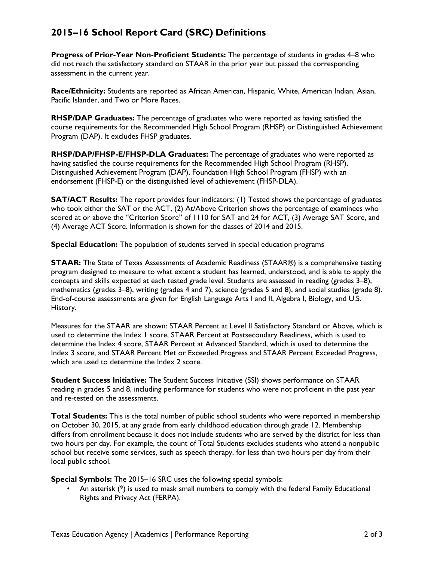## **2015–16 School Report Card (SRC) Definitions**

**Progress of Prior-Year Non-Proficient Students:** The percentage of students in grades 4–8 who did not reach the satisfactory standard on STAAR in the prior year but passed the corresponding assessment in the current year.

**Race/Ethnicity:** Students are reported as African American, Hispanic, White, American Indian, Asian, Pacific Islander, and Two or More Races.

**RHSP/DAP Graduates:** The percentage of graduates who were reported as having satisfied the course requirements for the Recommended High School Program (RHSP) or Distinguished Achievement Program (DAP). It excludes FHSP graduates.

**RHSP/DAP/FHSP-E/FHSP-DLA Graduates:** The percentage of graduates who were reported as having satisfied the course requirements for the Recommended High School Program (RHSP), Distinguished Achievement Program (DAP), Foundation High School Program (FHSP) with an endorsement (FHSP-E) or the distinguished level of achievement (FHSP-DLA).

**SAT/ACT Results:** The report provides four indicators: (1) Tested shows the percentage of graduates who took either the SAT or the ACT, (2) At/Above Criterion shows the percentage of examinees who scored at or above the "Criterion Score" of 1110 for SAT and 24 for ACT, (3) Average SAT Score, and (4) Average ACT Score. Information is shown for the classes of 2014 and 2015.

**Special Education:** The population of students served in special education programs

**STAAR:** The State of Texas Assessments of Academic Readiness (STAAR®) is a comprehensive testing program designed to measure to what extent a student has learned, understood, and is able to apply the concepts and skills expected at each tested grade level. Students are assessed in reading (grades 3–8), mathematics (grades 3–8), writing (grades 4 and 7), science (grades 5 and 8), and social studies (grade 8). End-of-course assessments are given for English Language Arts I and II, Algebra I, Biology, and U.S. History.

Measures for the STAAR are shown: STAAR Percent at Level II Satisfactory Standard or Above, which is used to determine the Index 1 score, STAAR Percent at Postsecondary Readiness, which is used to determine the Index 4 score, STAAR Percent at Advanced Standard, which is used to determine the Index 3 score, and STAAR Percent Met or Exceeded Progress and STAAR Percent Exceeded Progress, which are used to determine the Index 2 score.

**Student Success Initiative:** The Student Success Initiative (SSI) shows performance on STAAR reading in grades 5 and 8, including performance for students who were not proficient in the past year and re-tested on the assessments.

**Total Students:** This is the total number of public school students who were reported in membership on October 30, 2015, at any grade from early childhood education through grade 12. Membership differs from enrollment because it does not include students who are served by the district for less than two hours per day. For example, the count of Total Students excludes students who attend a nonpublic school but receive some services, such as speech therapy, for less than two hours per day from their local public school.

**Special Symbols:** The 2015–16 SRC uses the following special symbols:

• An asterisk (\*) is used to mask small numbers to comply with the federal Family Educational Rights and Privacy Act (FERPA).